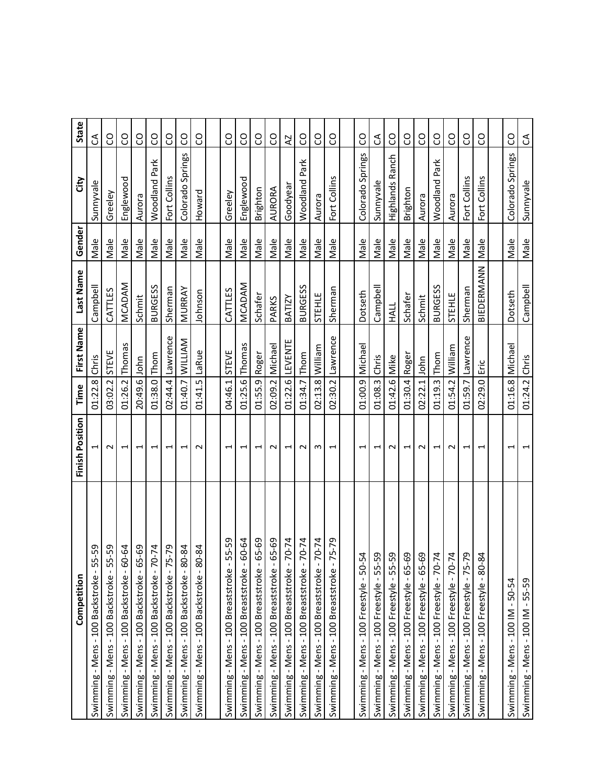| Competition                                        | Finish Position          | Time            | First Name       | Last Name      | Gender | čity             | State          |
|----------------------------------------------------|--------------------------|-----------------|------------------|----------------|--------|------------------|----------------|
| 5-59<br>ь<br>Swimming - Mens - 100 Backstroke -    | 1                        | 01:22.8         | Chris            | Campbell       | Male   | Sunnyvale        | S              |
| Swimming - Mens - 100 Backstroke - 55-59           | $\sim$                   | 03:02.2 STEVE   |                  | CATTLES        | Male   | Greeley          | CO             |
| Swimming - Mens - 100 Backstroke - 60-64           | $\overline{\phantom{0}}$ | 01:26.2         | Thomas           | MCADAM         | Male   | Englewood        | S              |
| Swimming - Mens - 100 Backstroke - 65-69           | $\blacktriangleright$    | 20:49.6 John    |                  | Schmit         | Male   | Aurora           | SO             |
| Swimming - Mens - 100 Backstroke - 70-74           | $\overline{\phantom{0}}$ | 01:38.0 Thom    |                  | <b>BURGESS</b> | Male   | Woodland Park    | CO             |
| $5 - 79$<br>Swimming - Mens - 100 Backstroke - 7   | $\overline{\phantom{0}}$ | 02:44.4         | Lawrence         | Sherman        | Male   | Fort Collins     | S              |
| Swimming - Mens - 100 Backstroke - 80-84           | $\overline{\phantom{0}}$ |                 | 01:40.7 WILLIAM  | <b>MURRAY</b>  | Male   | Colorado Springs | S              |
| Swimming - Mens - 100 Backstroke - 80-84           | $\sim$                   | 01:41.5         | LaRue            | Johnson        | Male   | Howard           | S              |
|                                                    |                          |                 |                  |                |        |                  |                |
| 55-59<br>Swimming - Mens - 100 Breaststroke -      | $\overline{\phantom{0}}$ | 04:46.1         | STEVE            | CATTLES        | Male   | Greeley          | CO             |
| 60-64<br>Swimming - Mens - 100 Breaststroke -      | $\overline{ }$           | 01:25.6         | Thomas           | MCADAM         | Male   | Englewood        | ဥ              |
| 65-69<br>Swimming - Mens - 100 Breaststroke        | $\overline{ }$           | 01:55.9 Roger   |                  | Schafer        | Male   | Brighton         | SO             |
| 65-69<br>Swimming - Mens - 100 Breaststroke -      | $\sim$                   | 02:09.2         | Michael          | PARKS          | Male   | AURORA           | CO             |
| Swimming - Mens - 100 Breaststroke - 70-74         | $\overline{ }$           |                 | 01:22.6 LEVENTE  | BATIZY         | Male   | Goodyear         | $\overline{A}$ |
| $70 - 74$<br>Swimming - Mens - 100 Breaststroke    | $\sim$                   | 01:34.7 Thom    |                  | <b>BURGESS</b> | Male   | Woodland Park    | SO             |
| $-70 - 74$<br>Swimming - Mens - 100 Breaststroke - | m                        | 02:13.8         | William          | STEHLE         | Male   | Aurora           | S              |
| $-5 - 79$<br>Swimming - Mens - 100 Breaststroke    | $\overline{ }$           |                 | 02:30.2 Lawrence | Sherman        | Male   | Fort Collins     | SO             |
|                                                    |                          |                 |                  |                |        |                  |                |
| Swimming - Mens - 100 Freestyle - 50-54            | $\overline{\phantom{0}}$ | 01:00.9 Michael |                  | Dotseth        | Male   | Colorado Springs | S              |
| Swimming - Mens - 100 Freestyle - 55-59            | $\mathbf{\mathbf{t}}$    | 01:08.3 Chris   |                  | Campbell       | Male   | Sunnyvale        | S              |
| Swimming - Mens - 100 Freestyle - 55-59            | $\sim$                   | 01:42.6 Mike    |                  | <b>HALL</b>    | Male   | Highlands Ranch  | S              |
| Swimming - Mens - 100 Freestyle - 65-69            | $\overline{ }$           | 01:30.4 Roger   |                  | Schafer        | Male   | Brighton         | SO             |
| Swimming - Mens - 100 Freestyle - 65-69            | $\sim$                   | 02:22.1         | John             | Schmit         | Male   | Aurora           | S              |
| Swimming - Mens - 100 Freestyle - 70-74            | $\overline{ }$           | 01:19.3 Thom    |                  | <b>BURGESS</b> | Male   | Woodland Park    | S              |
| Swimming - Mens - 100 Freestyle - 70-74            | $\sim$                   | 01:54.2 William |                  | STEHLE         | Male   | Aurora           | SO             |
| Swimming - Mens - 100 Freestyle - 75-79            | $\overline{ }$           | 01:59.7         | Lawrence         | Sherman        | Male   | Fort Collins     | S              |
| Swimming - Mens - 100 Freestyle - 80-84            | $\overline{ }$           | 02:29.0         | Εriς             | BIEDERMANN     | Male   | Fort Collins     | SO             |
|                                                    |                          |                 |                  |                |        |                  |                |
| Swimming - Mens - $100$ IM - $50-54$               | J                        | 01:16.8 Michael |                  | Dotseth        | Male   | Colorado Springs | SO             |
| Swimming - Mens - 100 IM - 55-59                   | $\overline{\phantom{0}}$ | 01:24.2 Chris   |                  | Campbell       | Male   | Sunnyvale        | S              |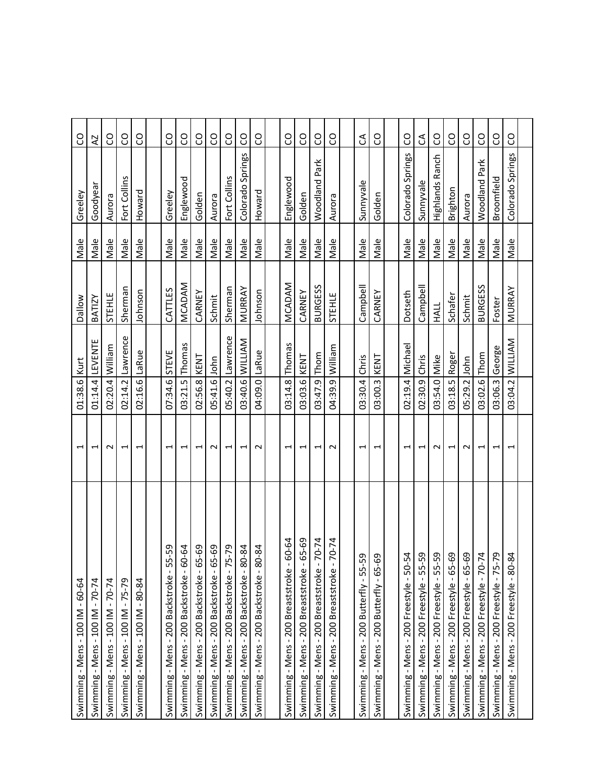| Swimming - Mens - $100$ IM - $60-64$                    | $\overline{ }$           | 01:38.6 Kurt    |                 | Dallow         | Male | Greeley          | S             |
|---------------------------------------------------------|--------------------------|-----------------|-----------------|----------------|------|------------------|---------------|
| Swimming - Mens - $100$ IM - $70-74$                    | $\overline{\phantom{0}}$ | 01:14.4         | LEVENTE         | BATIZY         | Male | Goodyear         | ZZ            |
| Swimming - Mens - 100 IM - 70-74                        | $\sim$                   | 02:20.4 William |                 | STEHLE         | Male | Aurora           | CO            |
| Swimming - Mens - 100 IM - 75-79                        | $\overline{ }$           | 02:14.2         | Lawrence        | Sherman        | Male | Fort Collins     | S             |
| Swimming - Mens - $100$ IM - $80-84$                    | $\overline{\phantom{0}}$ | 02:16.6 LaRue   |                 | Johnson        | Male | Howard           | SO            |
|                                                         |                          |                 |                 |                |      |                  |               |
| $5 - 59$<br>Swimming - Mens - 200 Backstroke - 5        | $\overline{\phantom{0}}$ | 07:34.6         | STEVE           | CATTLES        | Male | Greeley          | S             |
| Swimming - Mens - 200 Backstroke - 60-64                | $\overline{ }$           | 03:21.5 Thomas  |                 | MCADAM         | Male | Englewood        | <b>CO</b>     |
| Swimming - Mens - 200 Backstroke - 65-69                | $\overline{\phantom{0}}$ | 02:56.8         | KENT            | CARNEY         | Male | Golden           | CO            |
| Swimming - Mens - 200 Backstroke - 65-69                | $\sim$                   | 05:41.6 John    |                 | Schmit         | Male | Aurora           | S             |
| $5 - 79$<br>Swimming - Mens - 200 Backstroke - 7        | $\overline{\phantom{0}}$ | 05:40.2         | Lawrence        | Sherman        | Male | Fort Collins     | co            |
| Swimming - Mens - 200 Backstroke - 80-84                | $\overline{\phantom{0}}$ |                 | 03:40.6 WILLIAM | MURRAY         | Male | Colorado Springs | S             |
| Swimming - Mens - 200 Backstroke - 80-84                | $\sim$                   | 04:09.0 LaRue   |                 | Johnson        | Male | Howard           | S             |
|                                                         |                          |                 |                 |                |      |                  |               |
| 60-64<br>Swimming - Mens - 200 Breaststroke -           | $\overline{\phantom{0}}$ | 03:14.8         | Thomas          | MCADAM         | Male | Englewood        | SO            |
| 65-69<br>Swimming - Mens - 200 Breaststroke             | $\overline{\phantom{0}}$ | 03:03.6         | KENT            | CARNEY         | Male | Golden           | CO            |
| $-70-74$<br>Swimming - Mens - 200 Breaststroke          | 1                        | 03:47.9         | Thom            | <b>BURGESS</b> | Male | Woodland Park    | S             |
| $70 - 74$<br>Swimming - Mens - 200 Breaststroke         | $\sim$                   | 04:39.9 William |                 | STEHLE         | Male | Aurora           | S             |
|                                                         |                          |                 |                 |                |      |                  |               |
| 59<br>Swimming - Mens - 200 Butterfly - 55-             | $\mathbf{\overline{u}}$  | 03:30.4         | Chris           | Campbell       | Male | Sunnyvale        | $\mathcal{L}$ |
| 69<br>Swimming - Mens - 200 Butterfly - 65-             | $\overline{\phantom{0}}$ | 03:00.3         | KENT            | CARNEY         | Male | Golden           | CO            |
|                                                         |                          |                 |                 |                |      |                  |               |
| $-54$<br>Swimming - Mens - 200 Freestyle - 50-          | $\overline{\phantom{0}}$ | 02:19.4 Michael |                 | Dotseth        | Male | Colorado Springs | S             |
| $-59$<br>Swimming - Mens - 200 Freestyle - 55-          | $\overline{ }$           | 02:30.9         | Chris           | Campbell       | Male | Sunnyvale        | $\mathbb S$   |
| 59<br>Swimming - Mens - 200 Freestyle - 55-             | $\sim$                   | 03:54.0 Mike    |                 | <b>HALL</b>    | Male | Highlands Ranch  | S             |
| Swimming - Mens - 200 Freestyle - 65-69                 | $\overline{ }$           | 03:18.5         | Roger           | Schafer        | Male | Brighton         | S             |
| -69<br>Swimming - Mens - 200 Freestyle - 65-            | $\sim$                   | 05:29.2         | John            | Schmit         | Male | Aurora           | S             |
| Swimming - Mens - 200 Freestyle - 70-74                 | $\overline{\phantom{0}}$ | 03:02.6 Thom    |                 | <b>BURGESS</b> | Male | Woodland Park    | CO            |
| Swimming - Mens - 200 Freestyle - 75-79                 | $\overline{\phantom{0}}$ | 03:06.3         | George          | Foster         | Male | Broomfield       | S             |
| $\frac{84}{3}$<br>Swimming - Mens - 200 Freestyle - 80- | $\overline{\phantom{0}}$ |                 | 03:04.2 WILLIAM | MURRAY         | Male | Colorado Springs | S             |
|                                                         |                          |                 |                 |                |      |                  |               |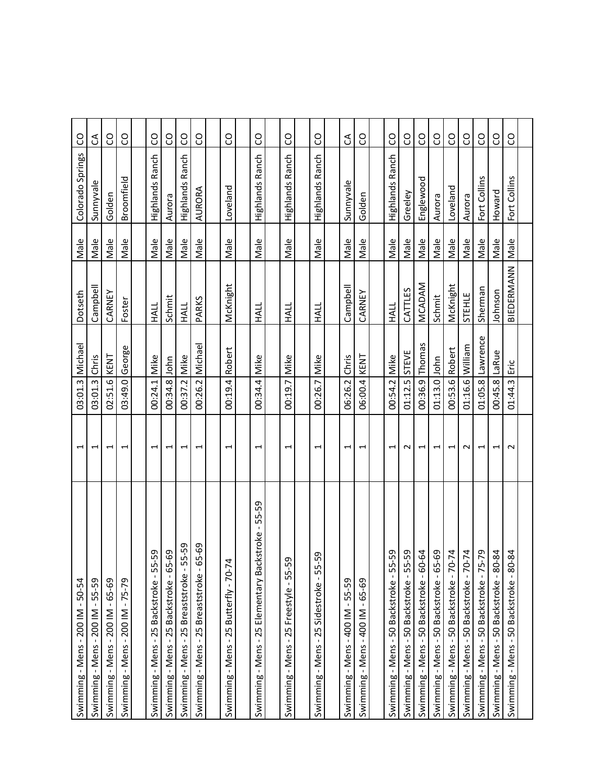| Swimming - Mens - $200$ IM - $50-54$                              | $\mathbf{\overline{u}}$  | 03:01.3         | Michael          | Dotseth       | Male | Colorado Springs       | S         |
|-------------------------------------------------------------------|--------------------------|-----------------|------------------|---------------|------|------------------------|-----------|
| 55-59<br>Swimming - Mens - 200 IM -                               | $\overline{\phantom{0}}$ | 03:01.3         | Chris            | Campbell      | Male | Sunnyvale              | S         |
| Swimming - Mens - 200 IM - 65-69                                  | $\overline{\phantom{0}}$ | 02:51.6 KENT    |                  | CARNEY        | Male | Golden                 | SO        |
| $-75-79$<br>200 IM<br>Swimming - Mens -                           | $\mathbf{\overline{u}}$  | 03:49.0         | George           | Foster        | Male | Broomfield             | SO        |
|                                                                   |                          |                 |                  |               |      |                        |           |
| Swimming - Mens - 25 Backstroke - 55-59                           | $\overline{\phantom{0}}$ | 00:24.1         | Mike             | HALL          | Male | Highlands Ranch        | S         |
| Swimming - Mens - 25 Backstroke - 65-69                           | 1                        | 00:34.8         | John             | Schmit        | Male | Aurora                 | S         |
| Swimming - Mens - 25 Breaststroke - 55-59                         | $\overline{\phantom{0}}$ | 00:37.2 Mike    |                  | <b>HALL</b>   | Male | <b>Highlands Ranch</b> | <b>CO</b> |
| Swimming - Mens - 25 Breaststroke - 65-69                         | $\mathbf{\overline{u}}$  | 00:26.2         | Michael          | PARKS         | Male | AURORA                 | SO        |
|                                                                   |                          |                 |                  |               |      |                        |           |
| $\overline{\mathcal{L}}$<br>Swimming - Mens - 25 Butterfly - 70-7 | $\overline{\phantom{0}}$ | 00:19.4         | Robert           | McKnight      | Male | Loveland               | co        |
|                                                                   |                          |                 |                  |               |      |                        |           |
| Swimming - Mens - 25 Elementary Backstroke - 55-59                | J                        | 00:34.4 Mike    |                  | HALL          | Male | Highlands Ranch        | S         |
|                                                                   |                          |                 |                  |               |      |                        |           |
| G<br>Swimming - Mens - 25 Freestyle - 55-5                        | $\overline{\phantom{0}}$ | 00:19.7         | Mike             | HALL          | Male | Highlands Ranch        | S         |
|                                                                   |                          |                 |                  |               |      |                        |           |
| 59<br>က်<br>Swimming - Mens - 25 Sidestroke                       | $\overline{\phantom{0}}$ | 00:26.7         | Mike             | HALL          | Male | <b>Highlands Ranch</b> | SO        |
|                                                                   |                          |                 |                  |               |      |                        |           |
| Swimming - Mens - 400 IM - 55-59                                  | $\mathbf{\mathbf{t}}$    | 06:26.2         | Chris            | Campbell      | Male | Sunnyvale              | E         |
| Swimming - Mens - 400 IM - 65-69                                  | $\overline{ }$           | 06:00.4         | KENT             | CARNEY        | Male | Golden                 | S         |
|                                                                   |                          |                 |                  |               |      |                        |           |
| $-55 - 59$<br>Swimming - Mens - 50 Backstroke                     | $\overline{\phantom{0}}$ | 00:54.2 Mike    |                  | <b>HALL</b>   | Male | Highlands Ranch        | SO        |
| Swimming - Mens - 50 Backstroke - 55-59                           | $\sim$                   | 01:12.5 STEVE   |                  | CATTLES       | Male | Greeley                | S         |
| Swimming - Mens - 50 Backstroke - 60-64                           | $\overline{\phantom{0}}$ | 00:36.9         | Thomas           | <b>MCADAM</b> | Male | Englewood              | CO        |
| Swimming - Mens - 50 Backstroke - 65-69                           | 1                        | 01:13.0 John    |                  | Schmit        | Male | Aurora                 | S         |
| Swimming - Mens - 50 Backstroke - 70-74                           | $\overline{\phantom{0}}$ | 00:53.6         | Robert           | McKnight      | Male | Loveland               | co        |
| Swimming - Mens - 50 Backstroke - 70-74                           | $\sim$                   | 01:16.6 William |                  | STEHLE        | Male | Aurora                 | S         |
| Swimming - Mens - 50 Backstroke - 75-79                           | $\overline{\phantom{0}}$ |                 | 01:05.8 Lawrence | Sherman       | Male | Fort Collins           | S         |
| Swimming - Mens - 50 Backstroke - 80-84                           | $\overline{\phantom{0}}$ | 00:45.8         | LaRue            | Johnson       | Male | Howard                 | CO        |
| Swimming - Mens - 50 Backstroke - 80-84                           | $\sim$                   | 01:44.3         | Εric             | BIEDERMANN    | Male | Fort Collins           | S         |
|                                                                   |                          |                 |                  |               |      |                        |           |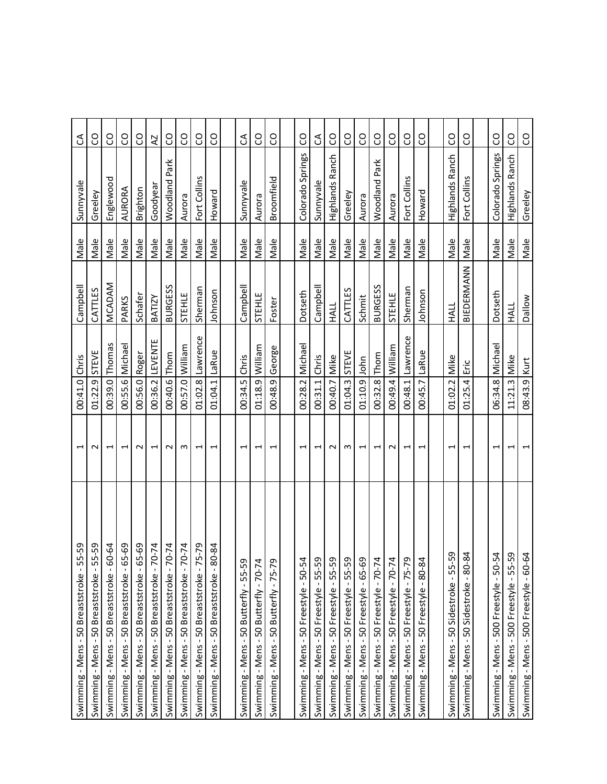| 55-59<br>Swimming - Mens - 50 Breaststroke -                                                                               | $\overline{\phantom{0}}$ | 00:41.0 Chris   |              | Campbell       | Male | Sunnyvale            | $\mathcal{L}$ |
|----------------------------------------------------------------------------------------------------------------------------|--------------------------|-----------------|--------------|----------------|------|----------------------|---------------|
| 55-59<br>50 Breaststroke<br>Swimming - Mens-                                                                               | $\sim$                   | 01:22.9         | <b>STEVE</b> | CATTLES        | Male | Greeley              | ဥ             |
| 60-64<br>Swimming - Mens - 50 Breaststroke -                                                                               | $\overline{ }$           | 00:39.0 Thomas  |              | MCADAM         | Male | Englewood            | CO            |
| 65-69<br>$\blacksquare$<br>50 Breaststroke<br>Swimming - Mens -                                                            | $\overline{ }$           | 00:55.6         | Michael      | PARKS          | Male | AURORA               | S             |
| 65-69<br>Swimming - Mens - 50 Breaststroke -                                                                               | $\sim$                   | 00:56.0         | Roger        | Schafer        | Male | Brighton             | SO            |
| $70 - 74$<br>Swimming - Mens - 50 Breaststroke -                                                                           | $\overline{ }$           | 00:36.2         | LEVENTE      | BATIZY         | Male | Goodyea              | AZ            |
| $70 - 74$<br>Swimming - Mens - 50 Breaststroke                                                                             | $\sim$                   | 00:40.6         | Thom         | <b>BURGESS</b> | Male | Woodland Park        | S             |
| $70 - 74$<br>Swimming - Mens - 50 Breaststroke -                                                                           | m                        | 00:57.0 William |              | STEHLE         | Male | Aurora               | SO            |
| 75-79<br>Swimming - Mens - 50 Breaststroke                                                                                 | $\overline{ }$           | 01:02.8         | Lawrence     | Sherman        | Male | Fort Collins         | S             |
| 80-84<br>Swimming - Mens - 50 Breaststroke -                                                                               | $\overline{ }$           | 01:04.1         | LaRue        | Johnson        | Male | Howard               | SO            |
|                                                                                                                            |                          |                 |              |                |      |                      |               |
|                                                                                                                            | $\overline{ }$           | 00:34.5         | Chris        | Campbell       | Male | Sunnyvale            | G             |
|                                                                                                                            | $\overline{\phantom{0}}$ | 01:18.9 William |              | STEHLE         | Male | Aurora               | S             |
| Swimming - Mens - 50 Butterfly - 55-59<br>Swimming - Mens - 50 Butterfly - 70-74<br>Swimming - Mens - 50 Butterfly - 75-79 | $\overline{ }$           | 00:48.9         | George       | Foster         | Male | Broomfield           | CO            |
|                                                                                                                            |                          |                 |              |                |      |                      |               |
| Swimming - Mens - 50 Freestyle - 50-54                                                                                     | $\overline{\phantom{0}}$ | 00:28.2         | Michael      | Dotseth        | Male | Colorado Springs     | S             |
| Swimming - Mens - 50 Freestyle - 55-59                                                                                     | $\overline{\phantom{0}}$ | 00:31.1         | Chris        | Campbell       | Male | Sunnyvale            | S             |
| Swimming - Mens - 50 Freestyle - 55-59                                                                                     | $\sim$                   | 00:40.7 Mike    |              | HALL           | Male | Highlands Ranch      | S             |
| Swimming - Mens - 50 Freestyle - 55-59                                                                                     | S                        | 01:04.3         | <b>STEVE</b> | CATTLES        | Male | Greeley              | <b>CO</b>     |
| Swimming - Mens - 50 Freestyle - 65-69                                                                                     | $\overline{\phantom{a}}$ | 01:10.9         | John         | Schmit         | Male | Aurora               | <b>CO</b>     |
| Swimming - Mens - 50 Freestyle - 70-74                                                                                     | $\overline{\phantom{0}}$ | 00:32.8         | Thom         | <b>BURGESS</b> | Male | <b>Woodland Park</b> | SO            |
| Swimming - Mens - 50 Freestyle - 70-74                                                                                     | $\sim$                   | 00:49.4         | William      | STEHLE         | Male | Aurora               | S             |
| Swimming - Mens - 50 Freestyle - 75-79                                                                                     | $\overline{ }$           | 00:48.1         | Lawrence     | Sherman        | Male | Fort Collins         | <b>CO</b>     |
| Swimming - Mens - 50 Freestyle - 80-84                                                                                     | $\overline{\phantom{0}}$ | 00:45.7         | LaRue        | Johnson        | Male | Howard               | CO            |
|                                                                                                                            |                          |                 |              |                |      |                      |               |
| Ģ,<br>Swimming - Mens - 50 Sidestroke - 55-                                                                                | ⊣                        | 01:02.2         | Mike         | HALL           | Male | Highlands Ranch      | S             |
| $-84$<br>$-80$<br>50 Sidestroke<br>Swimming - Mens-                                                                        | ſ                        | 01:25.4         | Eric         | BIEDERMANN     | Male | Fort Collins         | S             |
|                                                                                                                            |                          |                 |              |                |      |                      |               |
| $-54$<br>Swimming - Mens - 500 Freestyle - 50-                                                                             | ⊣                        | 06:34.8         | Michael      | Dotseth        | Male | Colorado Springs     | SO            |
| -59<br>Swimming - Mens - 500 Freestyle - 55-                                                                               | $\overline{ }$           | 11:21.3         | Mike         | HALL           | Male | Highlands Ranch      | S             |
| $-64$<br>Swimming - Mens - 500 Freestyle - 60-                                                                             | $\overline{\phantom{0}}$ | 08:43.9 Kurt    |              | <b>Dallow</b>  | Male | Greeley              | S             |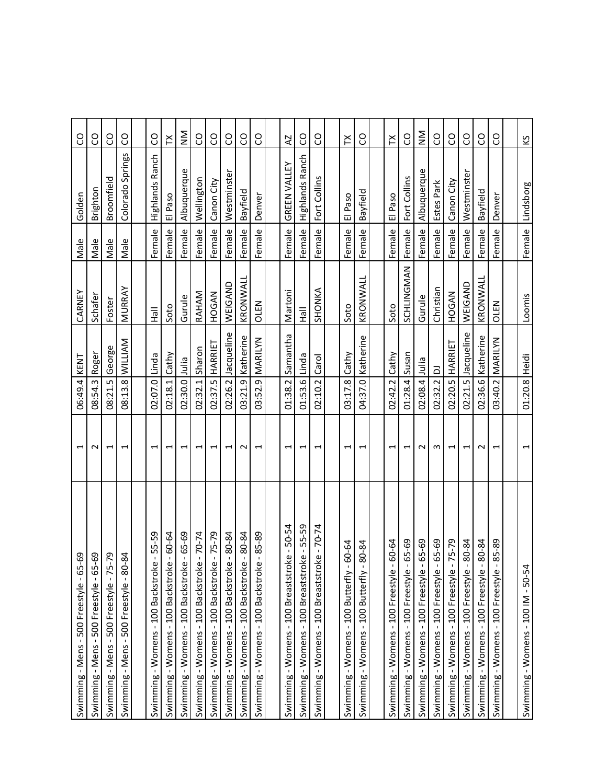| 69<br>Swimming - Mens - 500 Freestyle - 65-                 | $\overline{\phantom{0}}$ | 06:49.4 KENT  |                        | CARNEY        | Male   | Golden                 | SO                                |
|-------------------------------------------------------------|--------------------------|---------------|------------------------|---------------|--------|------------------------|-----------------------------------|
| Swimming - Mens - 500 Freestyle - 65-69                     | $\sim$                   | 08:54.3       | Roger                  | Schafer       | Male   | Brighton               | S                                 |
| Swimming - Mens - 500 Freestyle - 75-79                     | $\overline{\phantom{0}}$ | 08:21.5       | George                 | Foster        | Male   | Broomfield             | S                                 |
| $\frac{8}{4}$<br>Swimming - Mens - 500 Freestyle - 80-      | $\mathbf{\overline{u}}$  | 08:13.8       | <b>WILLIAM</b>         | MURRAY        | Male   | Colorado Springs       | S                                 |
|                                                             |                          |               |                        |               |        |                        |                                   |
| 55-59<br>$\mathbf I$<br>Swimming - Womens - 100 Backstroke  | $\overline{\phantom{0}}$ | 02:07.0 Linda |                        | $\frac{1}{2}$ | Female | <b>Highlands Ranch</b> | SO                                |
| $-60-64$<br>Swimming - Womens - 100 Backstroke              | $\overline{ }$           | 02:18.1       | Cathy                  | Soto          | Female | El Paso                | ř                                 |
| $-65 - 69$<br>Swimming - Womens - 100 Backstroke            | $\overline{ }$           | 02:30.0 Julia |                        | Gurule        | Female | Albuquerque            | $\mathsf{\Sigma}_{\mathsf{Z}}$    |
| $-70-74$<br>Swimming - Womens - 100 Backstroke              | $\overline{ }$           | 02:32.1       | Sharon                 | RAHAM         | Female | Wellington             | CO                                |
| $-75 - 79$<br>Swimming - Womens - 100 Backstroke            | $\overline{\phantom{0}}$ | 02:37.5       | HARRIET                | HOGAN         | Female | Canon City             | S                                 |
| 80-84<br>Swimming - Womens - 100 Backstroke                 | $\overline{\phantom{0}}$ | 02:26.2       | Jacqueline             | WEIGAND       | Female | Westminster            | S                                 |
| 80-84<br>$\mathbf{I}$<br>Swimming - Womens - 100 Backstroke | $\sim$                   | 03:21.9       | Katherine              | KRONWALL      | Female | Bayfield               | CO                                |
| 85-89<br>$\mathbf{I}$<br>Swimming - Womens - 100 Backstroke | $\overline{ }$           |               | 03:52.9 MARILYN        | <b>OLEN</b>   | Female | Denver                 | S                                 |
|                                                             |                          |               |                        |               |        |                        |                                   |
| Swimming - Womens - 100 Breaststroke - 50-54                | $\overline{\phantom{0}}$ | 01:38.2       | Samantha               | Martoni       | Female | GREEN VALLEY           | <b>Z</b>                          |
| Swimming - Womens - 100 Breaststroke - 55-59                | H                        | 01:53.6 Linda |                        | <b>MEH</b>    | Female | <b>Highlands Ranch</b> | S                                 |
| Swimming - Womens - 100 Breaststroke - 70-74                | $\overline{\phantom{0}}$ | 02:10.2       | Carol                  | SHONKA        | Female | Fort Collins           | CO                                |
|                                                             |                          |               |                        |               |        |                        |                                   |
| 60-64<br>Swimming - Womens - 100 Butterfly -                | ⊣                        | 03:17.8       | Cathy                  | Soto          | Female | El Paso                | $\boldsymbol{\succeq}$            |
| 80-84<br>Swimming - Womens - 100 Butterfly -                | $\overline{\phantom{0}}$ | 04:37.0       | Katherine              | KRONWALL      | Female | Bayfield               | S                                 |
|                                                             |                          |               |                        |               |        |                        |                                   |
| 60-64<br>Swimming - Womens - 100 Freestyle -                | $\mathbf{\mathbf{t}}$    | 02:42.2       | Cathy                  | Soto          | Female | El Paso                | $\boldsymbol{\check{\mathsf{r}}}$ |
| 65-69<br>Swimming - Womens - 100 Freestyle                  | 1                        | 01:28.4 Susan |                        | SCHLINGMAN    | Female | Fort Collins           | S                                 |
| 65-69<br>Swimming - Womens - 100 Freestyle                  | $\sim$                   | 02:08.4 Julia |                        | Gurule        | Female | Albuquerque            | $\sum_{\mathsf{X}}$               |
| 65-69<br>Swimming - Womens - 100 Freestyle -                | m                        | 02:32.2       | $\overline{\triangle}$ | Christian     | Female | Estes Park             | S                                 |
| $-5 - 79$<br>Swimming - Womens - 100 Freestyle              | $\overline{\phantom{0}}$ | 02:20.5       | HARRIET                | HOGAN         | Female | Canon City             | S                                 |
| $80 - 84$<br>Swimming - Womens - 100 Freestyle -            | $\overline{\phantom{0}}$ | 02:21.5       | Jacqueline             | WEIGAND       | Female | Westminster            | CO                                |
| 80-84<br>Swimming - Womens - 100 Freestyle                  | $\sim$                   |               | 02:36.6 Katherine      | KRONWALL      | Female | Bayfield               | SO                                |
| 85-89<br>Swimming - Womens - 100 Freestyle                  | $\overline{\phantom{0}}$ | 03:40.2       | MARILYN                | OLEN          | Female | Denver                 | SO                                |
|                                                             |                          |               |                        |               |        |                        |                                   |
| Swimming - Womens - $100$ IM - $50-54$                      | 1                        | 01:20.8 Heidi |                        | Loomis        |        | Female Lindsborg       | Š                                 |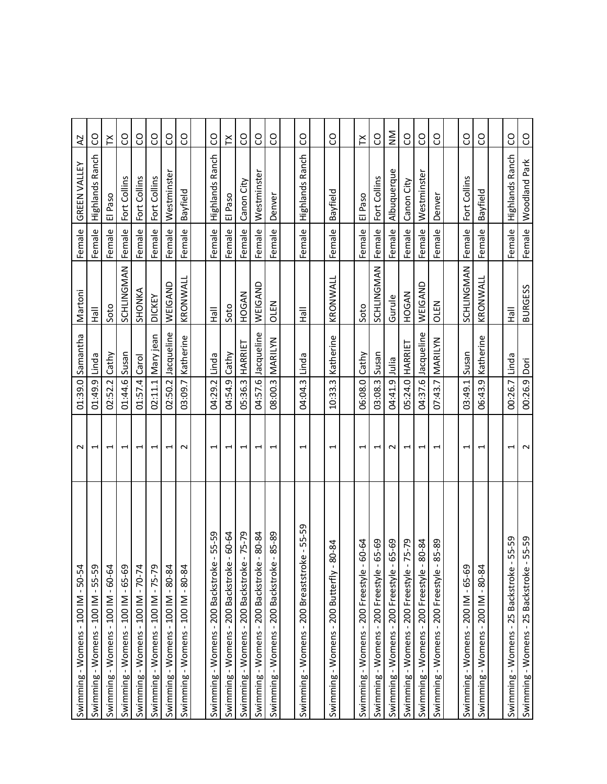| Swimming - Womens - 100 IM - 50-54                | $\sim$                   | 01:39.0         | Samantha           | Martoni        | Female | GREEN VALLEY           | AZ                  |
|---------------------------------------------------|--------------------------|-----------------|--------------------|----------------|--------|------------------------|---------------------|
| Swimming - Womens - 100 IM - 55-59                | $\overline{\phantom{0}}$ | 01:49.9         | Linda              | <b>MAI</b>     | Female | Highlands Ranch        | S                   |
| Swimming - Womens - $100$ IM - $60$ -64           | $\overline{\phantom{0}}$ | $02:52.2$ Cathy |                    | Soto           | Female | El Paso                | ř                   |
| Swimming - Womens - 100 IM - 65-69                | $\overline{\phantom{0}}$ | 01:44.6         | Susan              | SCHLINGMAN     | Female | Fort Collins           | S                   |
| Swimming - Womens - $100$ IM - $70-74$            | $\overline{\phantom{0}}$ | 01:57.4 Carol   |                    | SHONKA         | Female | Fort Collins           | S                   |
| Swimming - Womens - 100 IM - 75-79                | $\overline{\phantom{0}}$ | 02:11.1         | Mary jean          | <b>DICKEY</b>  | Female | Fort Collins           | S                   |
| Swimming - Womens - 100 IM - 80-84                | $\overline{ }$           | 02:50.2         | Jacqueline         | WEIGAND        | Female | Westminster            | S                   |
| Swimming - Womens - $100$ IM - $80-84$            | $\sim$                   | 03:09.7         | Katherine          | KRONWALL       | Female | Bayfield               | S                   |
|                                                   |                          |                 |                    |                |        |                        |                     |
| 55-59<br>Swimming - Womens - 200 Backstroke       | $\overline{\phantom{0}}$ | 04:29.2         | Linda              | 흝              | Female | <b>Highlands Ranch</b> | S                   |
| $-60 - 64$<br>Swimming - Womens - 200 Backstroke  | $\overline{\phantom{0}}$ | 04:54.9         | Cathy              | Soto           | Female | El Paso                | $\mathbb{X}$        |
| $-75-79$<br>Swimming - Womens - 200 Backstroke    | 1                        | 05:36.3         | HARRIET            | HOGAN          | Female | Canon City             | ဥ                   |
| 80-84<br>Swimming - Womens - 200 Backstroke       | $\overline{\phantom{0}}$ |                 | 04:57.6 Jacqueline | WEIGAND        | Female | Westminster            | S                   |
| 85-89<br>Swimming - Womens - 200 Backstroke       | $\overline{\phantom{0}}$ | 08:00.3         | MARILYN            | OLEN           | Female | Denver                 | SO                  |
|                                                   |                          |                 |                    |                |        |                        |                     |
| 55-59<br>â<br>Swimming - Womens - 200 Breaststrol | $\overline{\phantom{0}}$ | 04:04.3         | Linda              | 흝              | Female | Highlands Ranch        | SO                  |
|                                                   |                          |                 |                    |                |        |                        |                     |
| 80-84<br>Swimming - Womens - 200 Butterfly        | $\overline{\phantom{0}}$ | 10:33.3         | Katherine          | KRONWALL       | Female | Bayfield               | S                   |
|                                                   |                          |                 |                    |                |        |                        |                     |
| 60-64<br>Swimming - Womens - 200 Freestyle        | $\mathbf{\overline{u}}$  | 06:08.0 Cathy   |                    | Soto           | Female | El Paso                | $\mathsf{X}$        |
| 65-69<br>Swimming - Womens - 200 Freestyle        | $\overline{\phantom{0}}$ | 03:08.3 Susan   |                    | SCHLINGMAN     | Female | Fort Collins           | S                   |
| 65-69<br>Swimming - Womens - 200 Freestyle -      | $\sim$                   | 04:41.9         | <u>silu</u>        | Gurule         | Female | Albuquerque            | $\sum_{\mathsf{X}}$ |
| 75-79<br>Swimming - Womens - 200 Freestyle        | $\overline{\phantom{0}}$ |                 | 05:24.0 HARRIET    | HOGAN          | Female | Canon City             | S                   |
| 80-84<br>Swimming - Womens - 200 Freestyle        | $\overline{\phantom{0}}$ | 04:37.6         | Jacqueline         | WEIGAND        | Female | Westminster            | CO                  |
| 85-89<br>Swimming - Womens - 200 Freestyle -      | 1                        | 07:43.7         | MARILYN            | OLEN           | Female | Denver                 | S                   |
|                                                   |                          |                 |                    |                |        |                        |                     |
| Swimming - Womens - 200 IM - 65-69                | $\overline{\phantom{0}}$ | 03:49.1         | Susan              | SCHLINGMAN     | Female | Fort Collins           | SO                  |
| Swimming - Womens - $200$ IM - $80-84$            | $\overline{ }$           | 06:43.9         | Katherine          | KRONWALL       | Female | Bayfield               | S                   |
|                                                   |                          |                 |                    |                |        |                        |                     |
| 55-59<br>Swimming - Womens - 25 Backstroke -      | $\overline{\phantom{0}}$ | 00:26.7         | Linda              | 흝              | Female | <b>Highlands Ranch</b> | CO                  |
| 55-59<br>Swimming - Womens - 25 Backstroke        | $\sim$                   | 00:26.9 Dori    |                    | <b>BURGESS</b> | Female | Woodland Park          | S                   |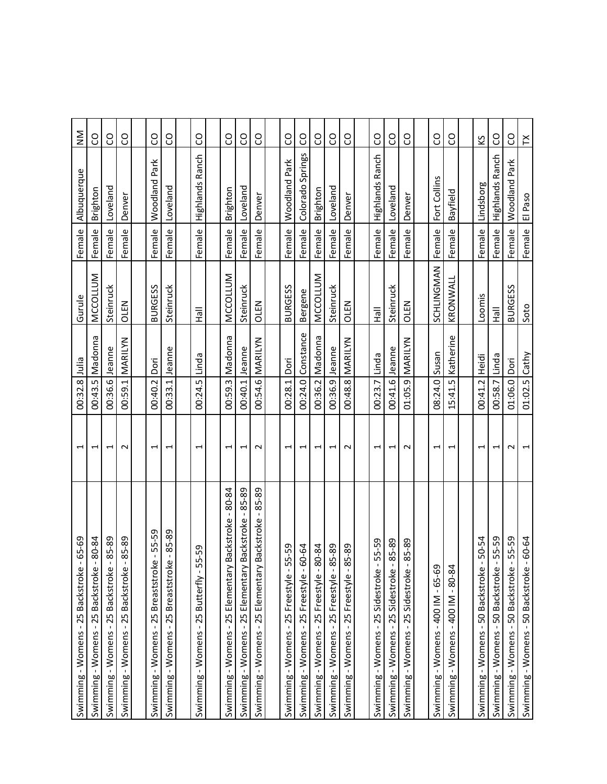| 65-69<br>Swimming - Womens - 25 Backstroke                     | Ţ                        | 00:32.8         | Julia             | Gurule          | Female | Albuquerque            | $\sum_{\mathsf{X}}$ |
|----------------------------------------------------------------|--------------------------|-----------------|-------------------|-----------------|--------|------------------------|---------------------|
| 80-84<br>Swimming - Womens - 25 Backstroke                     | $\overline{ }$           | 00:43.5         | Madonna           | MCCOLLUM        | Female | Brighton               | S                   |
| 85-89<br>Swimming - Womens - 25 Backstroke                     | 1                        | 00:36.6         | Jeanne            | Steinruck       | Female | Loveland               | S                   |
| 85-89<br>Swimming - Womens - 25 Backstroke -                   | $\sim$                   | 00:59.1         | MARILYN           | <b>OLEN</b>     | Female | Denver                 | CO                  |
|                                                                |                          |                 |                   |                 |        |                        |                     |
| 55-59<br>$\blacksquare$<br>Swimming - Womens - 25 Breaststroke | $\overline{\phantom{0}}$ | 00:40.2         | Dori              | <b>BURGESS</b>  | Female | Woodland Park          | CO                  |
| 85-89<br>$\blacksquare$<br>Swimming - Womens - 25 Breaststroke | $\overline{\phantom{0}}$ | 00:33.1         | Jeanne            | Steinruck       | Female | Loveland               | SO                  |
|                                                                |                          |                 |                   |                 |        |                        |                     |
| Swimming - Womens - 25 Butterfly - 55-59                       | $\mathbf{\overline{u}}$  | 00:24.5         | Linda             | ∥еH             | Female | Highlands Ranch        | SO                  |
|                                                                |                          |                 |                   |                 |        |                        |                     |
| 80-84<br>Backstroke -<br>Swimming - Womens - 25 Elementary     | $\overline{\phantom{0}}$ | 00:59.3         | Madonna           | MCCOLLUM        | Female | Brighton               | <b>C</b>            |
| 85-89<br>Backstroke<br>Swimming - Womens - 25 Elementary       | 1                        | 00:40.1         | Jeanne            | Steinruck       | Female | Loveland               | S                   |
| Backstroke - 85-89<br>Swimming - Womens - 25 Elementary        | $\sim$                   |                 | 00:54.6 MARILYN   | OLEN            | Female | Denver                 | CO                  |
|                                                                |                          |                 |                   |                 |        |                        |                     |
| $5 - 59$<br>Swimming - Womens - 25 Freestyle - 5               | $\overline{\phantom{0}}$ | 00:28.1         | Dori              | <b>BURGESS</b>  | Female | <b>Woodland Park</b>   | S                   |
| Swimming - Womens - 25 Freestyle - 60-64                       | $\overline{\phantom{0}}$ |                 | 00:24.0 Constance | Bergene         | Female | Colorado Springs       | SO                  |
| Swimming - Womens - 25 Freestyle - 80-84                       | $\overline{ }$           | 00:36.2         | Madonna           | <b>MCCOLLUM</b> | Female | Brighton               | S                   |
| $85 - 89$<br>Swimming - Womens - 25 Freestyle - 8              | $\overline{\phantom{0}}$ | 00:36.9         | Jeanne            | Steinruck       | Female | Loveland               | SO                  |
| $5 - 89$<br>Swimming - Womens - 25 Freestyle - 8               | $\sim$                   | 00:48.8         | MARILYN           | OLEN            | Female | Denver                 | SO                  |
|                                                                |                          |                 |                   |                 |        |                        |                     |
| 55-59<br>Swimming - Womens - 25 Sidestroke -                   | $\overline{\phantom{0}}$ | 00:23.7         | Linda             | $\frac{1}{2}$   | Female | Highlands Ranch        | S                   |
| 85-89<br>Swimming - Womens - 25 Sidestroke -                   | $\overline{ }$           | 00:41.6         | Jeanne            | Steinruck       | Female | Loveland               | S                   |
| 85-89<br>Swimming - Womens - 25 Sidestroke                     | $\sim$                   |                 | 01:05.9 MARILYN   | <b>OLEN</b>     | Female | Denver                 | SO                  |
|                                                                |                          |                 |                   |                 |        |                        |                     |
| Swimming - Womens - 400 IM - 65-69                             | $\overline{\phantom{0}}$ | 08:24.0 Susan   |                   | SCHLINGMAN      | Female | Fort Collins           | S                   |
| Swimming - Womens - $400$ IM - $80-84$                         | $\overline{ }$           | 15:41.5         | Katherine         | KRONWALL        | Female | Bayfield               | S                   |
|                                                                |                          |                 |                   |                 |        |                        |                     |
| $50 - 54$<br>Swimming - Womens - 50 Backstroke                 | $\overline{\phantom{0}}$ | 00:41.2         | <b>Heidi</b>      | Loomis          | Female | Lindsborg              | ΚŚ                  |
| 55-59<br>Swimming - Womens - 50 Backstroke -                   | $\overline{\phantom{0}}$ | 00:58.7         | Linda             | <b>MEH</b>      | Female | <b>Highlands Ranch</b> | S                   |
| 55-59<br>Swimming - Womens - 50 Backstroke -                   | $\sim$                   | 01:06.0 Dori    |                   | <b>BURGESS</b>  | Female | Woodland Park          | S                   |
| 60-64<br>Swimming - Womens - 50 Backstroke                     | $\overline{\phantom{0}}$ | $01:02.5$ Cathy |                   | Soto            | Female | El Paso                | ř                   |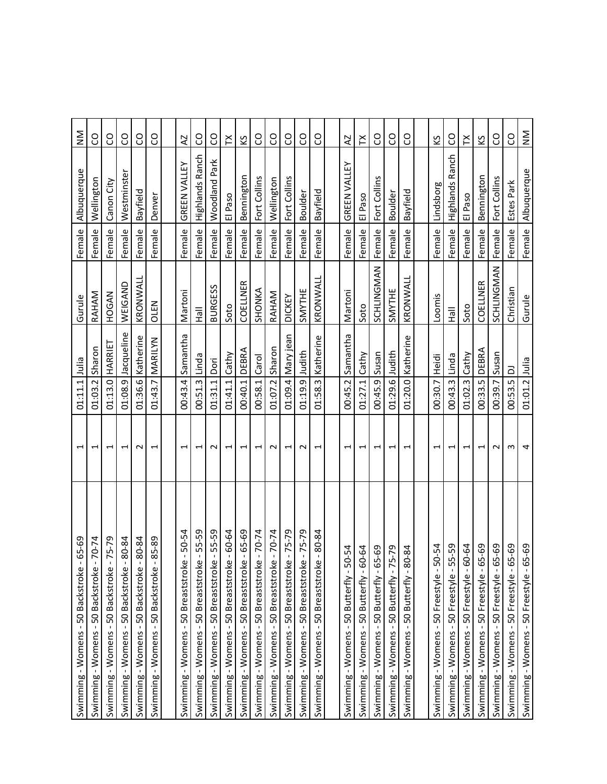| 65-69<br>Swimming - Womens - 50 Backstroke                   | $\overline{\phantom{0}}$ | 01:11.1         | lulia             | Gurule                               | Female              | Albuquerque     | $\mathsf{M}_{\mathsf{N}}$ |
|--------------------------------------------------------------|--------------------------|-----------------|-------------------|--------------------------------------|---------------------|-----------------|---------------------------|
| $-70-74$<br>Swimming - Womens - 50 Backstroke                | $\overline{\phantom{0}}$ | 01:03.2         | Sharon            | RAHAM                                | Female              | Wellington      | S                         |
| $-75 - 79$<br>Swimming - Womens - 50 Backstroke              | $\overline{ }$           |                 | 01:13.0   HARRIET | HOGAN                                | Female              | Canon City      | SO                        |
| 80-84<br>Swimming - Womens - 50 Backstroke                   | $\overline{\phantom{0}}$ | 01:08.9         | Jacqueline        | WEIGAND                              | Female              | Westminster     | SO                        |
| 80-84<br>Swimming - Womens - 50 Backstroke -                 | $\sim$                   |                 | 01:36.6 Katherine | KRONWALL                             | Female              | Bayfield        | SO                        |
| 85-89<br>Swimming - Womens - 50 Backstroke                   | $\overline{\phantom{0}}$ |                 | 01:43.7 MARILYN   | OLEN                                 | Female              | Denver          | CO                        |
|                                                              |                          |                 |                   |                                      |                     |                 |                           |
| Swimming - Womens - 50 Breaststroke - 50-54                  | $\overline{ }$           |                 | 00:43.4 Samantha  | Martoni                              | Female <sup>1</sup> | GREEN VALLEY    | $\overline{A}$            |
| 55-59<br>$\mathbf{I}$<br>Swimming - Womens - 50 Breaststroke | $\overline{\phantom{0}}$ | 00:51.3         | Linda             | $\overline{\overline{\overline{B}}}$ | Female              | Highlands Ranch | CO                        |
| 55-59<br>Swimming - Womens - 50 Breaststroke -               | $\sim$                   | 01:31.1 Dori    |                   | <b>BURGESS</b>                       | Female              | Woodland Park   | S                         |
| Swimming - Womens - 50 Breaststroke - 60-64                  | 1                        | $01:41.1$ Cathy |                   | Soto                                 | Female              | El Paso         | ř                         |
| Swimming - Womens - 50 Breaststroke - 65-69                  | $\overline{ }$           | 00:40.1         | DEBRA             | COELLNER                             | Female              | Bennington      | ΚŚ                        |
| Swimming - Womens - 50 Breaststroke - 70-74                  | $\overline{\phantom{0}}$ | 00:58.1 Carol   |                   | SHONKA                               | Female              | Fort Collins    | SO                        |
| $-70 - 74$<br>Swimming - Womens - 50 Breaststroke            | $\sim$                   | 01:07.2         | Sharon            | RAHAM                                | Female              | Wellington      | S                         |
| Swimming - Womens - 50 Breaststroke - 75-79                  | $\overline{\phantom{0}}$ |                 | 01:09.4 Mary jean | <b>DICKEY</b>                        | Female              | Fort Collins    | S                         |
| Swimming - Womens - 50 Breaststroke - 75-79                  | $\sim$                   | 01:19.9 Judith  |                   | <b>SMYTHE</b>                        | Female              | Boulder         | SO                        |
| Swimming - Womens - 50 Breaststroke - 80-84                  | $\overline{\phantom{0}}$ |                 | 01:58.3 Katherine | KRONWALL                             | Female              | Bayfield        | SO                        |
|                                                              |                          |                 |                   |                                      |                     |                 |                           |
| Swimming - Womens - 50 Butterfly - 50-54                     | $\overline{\phantom{0}}$ |                 | 00:45.2 Samantha  | Martoni                              | Female              | GREEN VALLEY    | <b>Z</b>                  |
| Swimming - Womens - 50 Butterfly - 60-64                     | $\overline{\phantom{0}}$ | 01:27.1 Cathy   |                   | Soto                                 | Female              | El Paso         | $\boldsymbol{\succeq}$    |
| Swimming - Womens - 50 Butterfly - 65-69                     | $\overline{\phantom{0}}$ | 00:45.9 Susan   |                   | SCHLINGMAN                           | Female              | Fort Collins    | SO                        |
| Swimming - Womens - 50 Butterfly - 75-79                     | $\overline{\phantom{0}}$ | 01:29.6         | Judith            | SMYTHE                               | Female              | Boulder         | S                         |
| Swimming - Womens - 50 Butterfly - 80-84                     | $\overline{ }$           |                 | 01:20.0 Katherine | KRONWALL                             | Female              | Bayfield        | S                         |
|                                                              |                          |                 |                   |                                      |                     |                 |                           |
| Swimming - Womens - 50 Freestyle - 50-54                     | $\overline{\phantom{0}}$ | 00:30.7         | <b>Heidi</b>      | Loomis                               | Female              | Lindsborg       | ΚŚ                        |
| $5 - 59$<br>Swimming - Womens - 50 Freestyle - 5             | $\overline{\phantom{0}}$ | 00:43.3 Linda   |                   | $\frac{1}{2}$                        | Female              | Highlands Ranch | S                         |
| Swimming - Womens - 50 Freestyle - 60-64                     | $\overline{\phantom{0}}$ | 01:02.3         | Cathy             | Soto                                 | Female              | El Paso         | $\boldsymbol{\succeq}$    |
| $5 - 69$<br>Swimming - Womens - 50 Freestyle - 6             | $\overline{ }$           | 00:33.5 DEBRA   |                   | COELLNER                             | Female              | Bennington      | Š                         |
| $5 - 69$<br>Swimming - Womens - 50 Freestyle - 6             | $\sim$                   | 00:39.7         | Susan             | SCHLINGMAN                           | Female              | Fort Collins    | S                         |
| $35 - 69$<br>Swimming - Womens - 50 Freestyle - 6            | w                        | 00:53.5 DJ      |                   | Christian                            | Female              | Estes Park      | S                         |
| Swimming - Womens - 50 Freestyle - 65-69                     | 4                        | 01:01.2 Julia   |                   | Gurule                               | Female              | Albuquerque     | $\mathsf{M}_{\mathsf{N}}$ |